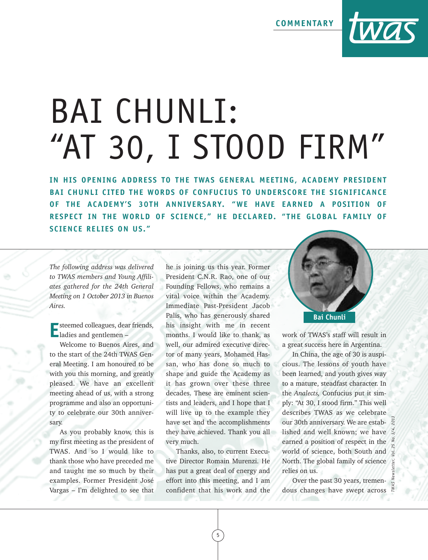**COMMENTARY**



## BAI CHUNLI: "AT 30, I STOOD FIRM"

**IN HIS OPENING ADDRESS TO THE TWAS GENERAL MEET ING, ACADEMY PRESIDENT BAI CHUNLI CITED THE WORDS OF CONFUCIUS TO UNDERSCORE THE SIGNIFICANCE OF THE ACADEMY'S 30TH ANNIVERSARY. "WE HAVE EARNED A POSIT ION OF RESPECT IN THE WORLD OF SCIENCE," HE DECLARED. "THE GLOBAL FAMILY OF SCIENCE RELIES ON US."**

*The following address was delivered to TWAS members and Young Affiliates gathered for the 24th General Meeting on 1 October 2013 in Buenos Aires.*

**E**steemed colleagues, dear friends, ladies and gentlemen –

Welcome to Buenos Aires, and to the start of the 24th TWAS General Meeting. I am honoured to be with you this morning, and greatly pleased. We have an excellent meeting ahead of us, with a strong programme and also an opportunity to celebrate our 30th anniversary.

As you probably know, this is my first meeting as the president of TWAS. And so I would like to thank those who have preceded me and taught me so much by their examples. Former President José Vargas – I'm delighted to see that

he is joining us this year. Former President C.N.R. Rao, one of our Founding Fellows, who remains a vital voice within the Academy. Immediate Past-President Jacob Palis, who has generously shared his insight with me in recent months. I would like to thank, as well, our admired executive director of many years, Mohamed Hassan, who has done so much to shape and guide the Academy as it has grown over these three decades. These are eminent scientists and leaders, and I hope that I will live up to the example they have set and the accomplishments they have achieved. Thank you all very much.

Thanks, also, to current Executive Director Romain Murenzi. He has put a great deal of energy and effort into this meeting, and I am confident that his work and the

5



work of TWAS's staff will result in a great success here in Argentina.

In China, the age of 30 is auspicious. The lessons of youth have been learned, and youth gives way to a mature, steadfast character. In the *Analects,* Confucius put it simply: "At 30, I stood firm." This well describes TWAS as we celebrate our 30th anniversary. We are established and well known; we have earned a position of respect in the world of science, both South and North. The global family of science relies on us.

Over the past 30 years, tremendous changes have swept across

*TWAS Newsletter, Vol. 25 No. 3/4, 2013*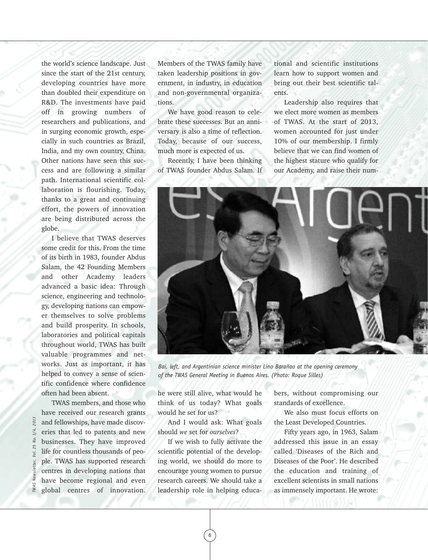the world's science landscape. Just since the start of the 21st century, developing countries have more than doubled their expenditure on R&D. The investments have paid off in growing numbers of researchers and publications, and in surging economic growth, especially in such countries as Brazil, India, and my own country, China. Other nations have seen this success and are following a similar path. International scientific collaboration is flourishing. Today, thanks to a great and continuing effort, the powers of innovation are being distributed across the globe.

I believe that TWAS deserves some credit for this. From the time of its birth in 1983, founder Abdus Salam, the 42 Founding Members and other Academy leaders advanced a basic idea: Through science, engineering and technology, developing nations can empower themselves to solve problems and build prosperity. In schools, laboratories and political capitals throughout world, TWAS has built valuable programmes and networks. Just as important, it has helped to convey a sense of scientific confidence where confidence often had been absent.

TWAS members, and those who have received our research grants and fellowships, have made discoveries that led to patents and new businesses. They have improved life for countless thousands of people. TWAS has supported research centres in developing nations that have become regional and even global centres of innovation.

Members of the TWAS family have taken leadership positions in government, in industry, in education and non-governmental organizations.

We have good reason to celebrate these successes. But an anniversary is also a time of reflection. Today, because of our success, much more is expected of us.

Recently, I have been thinking of TWAS founder Abdus Salam. If tional and scientific institutions learn how to support women and bring out their best scientific talents.

Leadership also requires that we elect more women as members of TWAS. At the start of 2013, women accounted for just under 10% of our membership. I firmly believe that we can find women of the highest stature who qualify for our Academy, and raise their num-



*Bai, left, and Argentinian science minister Lino Barañao at the opening ceremony of the TWAS General Meeting in Buenos Aires. (Photo: Roque Silles)*

he were still alive, what would he think of us today? What goals would he set for us?

And I would ask: What goals should *we* set for *ourselves*?

If we wish to fully activate the scientific potential of the developing world, we should do more to encourage young women to pursue research careers. We should take a leadership role in helping educa-

6

bers, without compromising our standards of excellence.

We also must focus efforts on the Least Developed Countries.

Fifty years ago, in 1963, Salam addressed this issue in an essay called 'Diseases of the Rich and Diseases of the Poor'. He described the education and training of excellent scientists in small nations as immensely important. He wrote:

*TWAS Newsletter, Vol. 25 No. 3/4, 2013*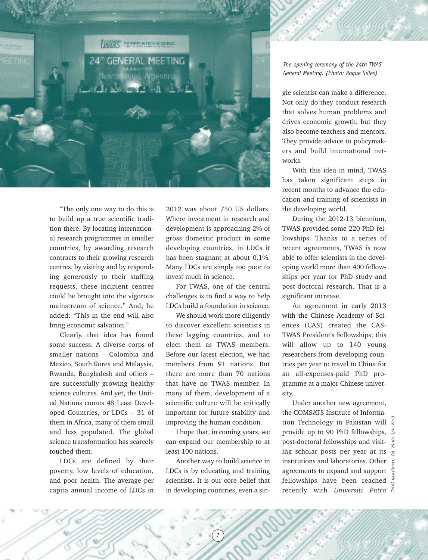

"The only one way to do this is to build up a true scientific tradition there. By locating international research programmes in smaller countries, by awarding research contracts to their growing research centres, by visiting and by responding generously to their staffing requests, these incipient centres could be brought into the vigorous mainstream of science." And, he added: "This in the end will also bring economic salvation."

Clearly, that idea has found some success. A diverse corps of smaller nations – Colombia and Mexico, South Korea and Malaysia, Rwanda, Bangladesh and others – are successfully growing healthy science cultures. And yet, the United Nations counts 48 Least Developed Countries, or LDCs – 31 of them in Africa, many of them small and less populated. The global science transformation has scarcely touched them.

LDCs are defined by their poverty, low levels of education, and poor health. The average per capita annual income of LDCs in 2012 was about 750 US dollars. Where investment in research and development is approaching 2% of gross domestic product in some developing countries, in LDCs it has been stagnant at about 0.1%. Many LDCs are simply too poor to invest much in science.

For TWAS, one of the central challenges is to find a way to help LDCs build a foundation in science.

We should work more diligently to discover excellent scientists in these lagging countries, and to elect them as TWAS members. Before our latest election, we had members from 91 nations. But there are more than 70 nations that have no TWAS member. In many of them, development of a scientific culture will be critically important for future stability and improving the human condition.

I hope that, in coming years, we can expand our membership to at least 100 nations.

Another way to build science in LDCs is by educating and training scientists. It is our core belief that in developing countries, even a sin-

*The opening ceremony of the 24th TWAS General Meeting. (Photo: Roque Silles)*

gle scientist can make a difference. Not only do they conduct research that solves human problems and drives economic growth, but they also become teachers and mentors. They provide advice to policymakers and build international networks.

With this idea in mind, TWAS has taken significant steps in recent months to advance the education and training of scientists in the developing world.

During the 2012-13 biennium, TWAS provided some 220 PhD fellowships. Thanks to a series of recent agreements, TWAS is now able to offer scientists in the developing world more than 400 fellowships per year for PhD study and post-doctoral research. That is a significant increase.

An agreement in early 2013 with the Chinese Academy of Sciences (CAS) created the CAS-TWAS President's Fellowships; this will allow up to 140 young researchers from developing countries per year to travel to China for an all-expenses-paid PhD programme at a major Chinese university.

Under another new agreement, the COMSATS Institute of Information Technology in Pakistan will provide up to 90 PhD fellowships,  $\frac{3}{6}$ post-doctoral fellowships and visiting scholar posts per year at its institutions and laboratories. Other agreements to expand and support fellowships have been reached recently with *Universiti Putra*

*TWAS Newsletter, Vol. 25 No. 3/4, 2013*

7